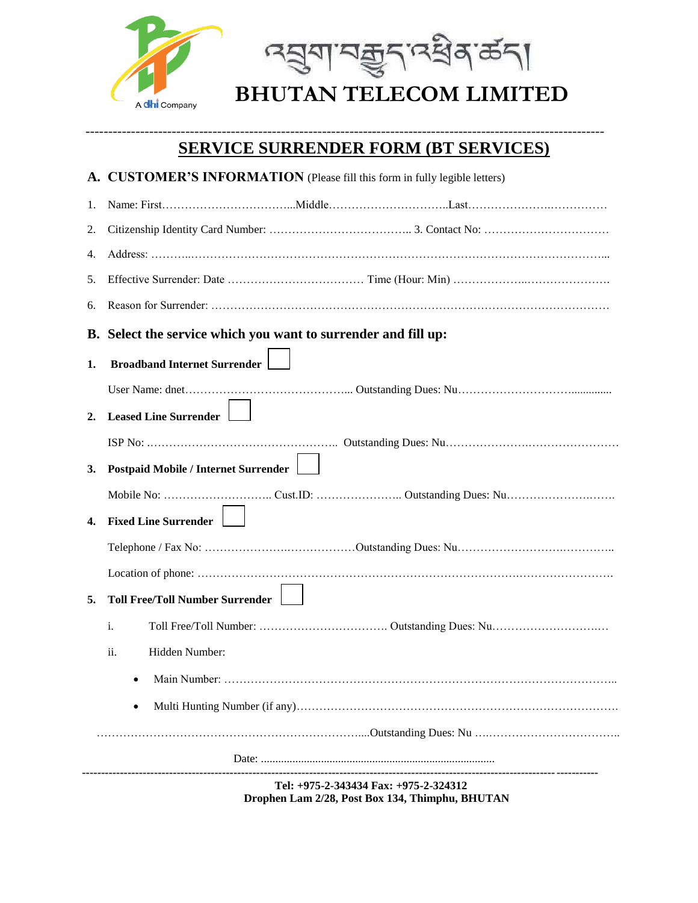

## ------------------------------------------------------------------------------------------------------------------ **SERVICE SURRENDER FORM (BT SERVICES)**

|                                                                                          | A. CUSTOMER'S INFORMATION (Please fill this form in fully legible letters) |  |
|------------------------------------------------------------------------------------------|----------------------------------------------------------------------------|--|
| 1.                                                                                       |                                                                            |  |
| 2.                                                                                       |                                                                            |  |
| 4.                                                                                       |                                                                            |  |
| 5.                                                                                       |                                                                            |  |
| 6.                                                                                       |                                                                            |  |
|                                                                                          | B. Select the service which you want to surrender and fill up:             |  |
| 1.                                                                                       | <b>Broadband Internet Surrender</b>                                        |  |
|                                                                                          |                                                                            |  |
| 2.                                                                                       | <b>Leased Line Surrender</b>                                               |  |
|                                                                                          |                                                                            |  |
| 3.                                                                                       | <b>Postpaid Mobile / Internet Surrender</b>                                |  |
|                                                                                          |                                                                            |  |
| 4.                                                                                       | <b>Fixed Line Surrender</b>                                                |  |
|                                                                                          |                                                                            |  |
|                                                                                          |                                                                            |  |
| 5.                                                                                       | <b>Toll Free/Toll Number Surrender</b>                                     |  |
|                                                                                          | i.                                                                         |  |
|                                                                                          | ii.<br>Hidden Number:                                                      |  |
|                                                                                          |                                                                            |  |
|                                                                                          |                                                                            |  |
|                                                                                          |                                                                            |  |
|                                                                                          |                                                                            |  |
| Tel: +975-2-343434 Fax: +975-2-324312<br>Drophen Lam 2/28, Post Box 134, Thimphu, BHUTAN |                                                                            |  |